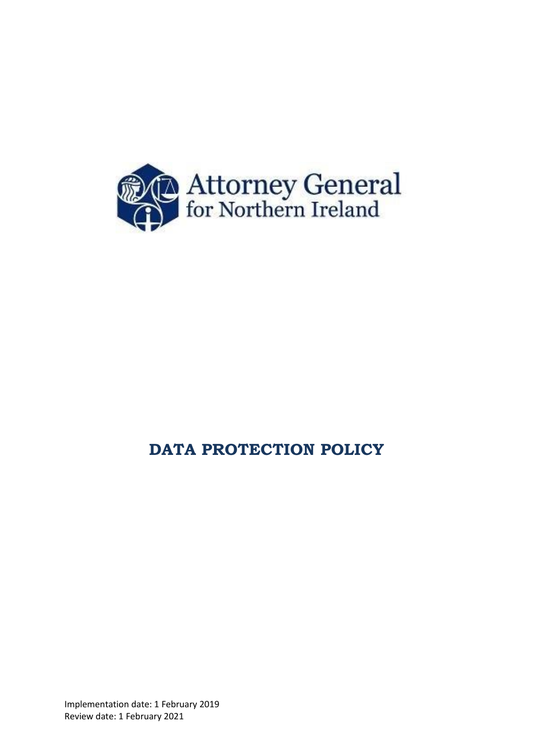

# **DATA PROTECTION POLICY**

Implementation date: 1 February 2019 Review date: 1 February 2021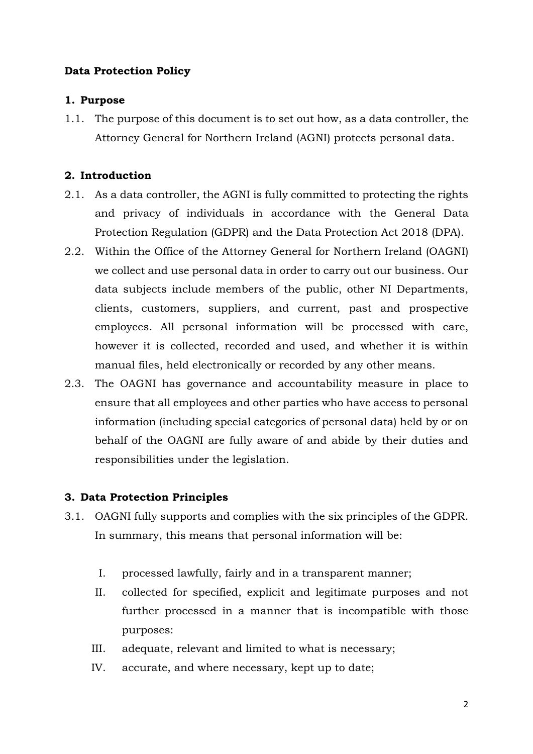## **Data Protection Policy**

## **1. Purpose**

1.1. The purpose of this document is to set out how, as a data controller, the Attorney General for Northern Ireland (AGNI) protects personal data.

# **2. Introduction**

- 2.1. As a data controller, the AGNI is fully committed to protecting the rights and privacy of individuals in accordance with the General Data Protection Regulation (GDPR) and the Data Protection Act 2018 (DPA).
- 2.2. Within the Office of the Attorney General for Northern Ireland (OAGNI) we collect and use personal data in order to carry out our business. Our data subjects include members of the public, other NI Departments, clients, customers, suppliers, and current, past and prospective employees. All personal information will be processed with care, however it is collected, recorded and used, and whether it is within manual files, held electronically or recorded by any other means.
- 2.3. The OAGNI has governance and accountability measure in place to ensure that all employees and other parties who have access to personal information (including special categories of personal data) held by or on behalf of the OAGNI are fully aware of and abide by their duties and responsibilities under the legislation.

# **3. Data Protection Principles**

- 3.1. OAGNI fully supports and complies with the six principles of the GDPR. In summary, this means that personal information will be:
	- I. processed lawfully, fairly and in a transparent manner;
	- II. collected for specified, explicit and legitimate purposes and not further processed in a manner that is incompatible with those purposes:
	- III. adequate, relevant and limited to what is necessary;
	- IV. accurate, and where necessary, kept up to date;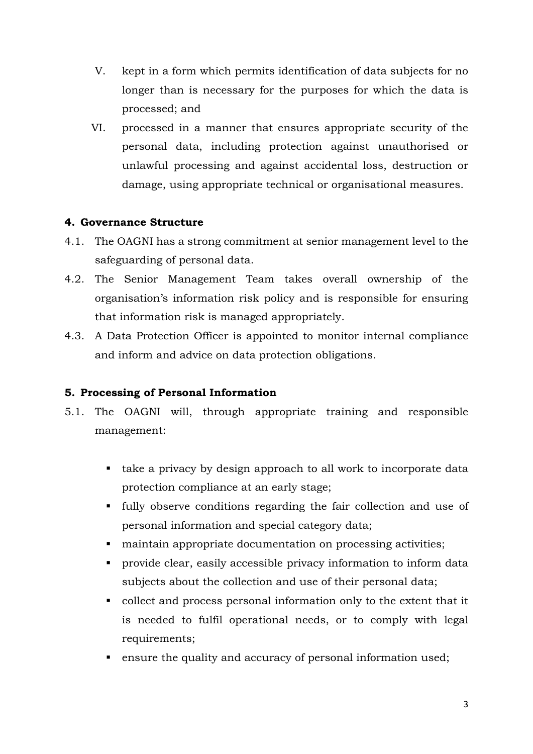- V. kept in a form which permits identification of data subjects for no longer than is necessary for the purposes for which the data is processed; and
- VI. processed in a manner that ensures appropriate security of the personal data, including protection against unauthorised or unlawful processing and against accidental loss, destruction or damage, using appropriate technical or organisational measures.

## **4. Governance Structure**

- 4.1. The OAGNI has a strong commitment at senior management level to the safeguarding of personal data.
- 4.2. The Senior Management Team takes overall ownership of the organisation's information risk policy and is responsible for ensuring that information risk is managed appropriately.
- 4.3. A Data Protection Officer is appointed to monitor internal compliance and inform and advice on data protection obligations.

### **5. Processing of Personal Information**

- 5.1. The OAGNI will, through appropriate training and responsible management:
	- take a privacy by design approach to all work to incorporate data protection compliance at an early stage;
	- fully observe conditions regarding the fair collection and use of personal information and special category data;
	- maintain appropriate documentation on processing activities;
	- provide clear, easily accessible privacy information to inform data subjects about the collection and use of their personal data;
	- collect and process personal information only to the extent that it is needed to fulfil operational needs, or to comply with legal requirements;
	- **Example 1** ensure the quality and accuracy of personal information used;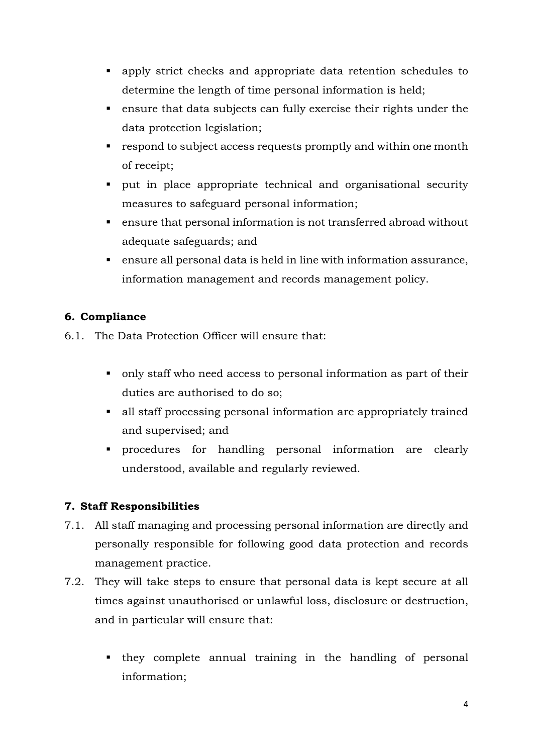- apply strict checks and appropriate data retention schedules to determine the length of time personal information is held;
- ensure that data subjects can fully exercise their rights under the data protection legislation;
- respond to subject access requests promptly and within one month of receipt;
- put in place appropriate technical and organisational security measures to safeguard personal information;
- ensure that personal information is not transferred abroad without adequate safeguards; and
- ensure all personal data is held in line with information assurance, information management and records management policy.

# **6. Compliance**

6.1. The Data Protection Officer will ensure that:

- only staff who need access to personal information as part of their duties are authorised to do so;
- all staff processing personal information are appropriately trained and supervised; and
- procedures for handling personal information are clearly understood, available and regularly reviewed.

# **7. Staff Responsibilities**

- 7.1. All staff managing and processing personal information are directly and personally responsible for following good data protection and records management practice.
- 7.2. They will take steps to ensure that personal data is kept secure at all times against unauthorised or unlawful loss, disclosure or destruction, and in particular will ensure that:
	- they complete annual training in the handling of personal information;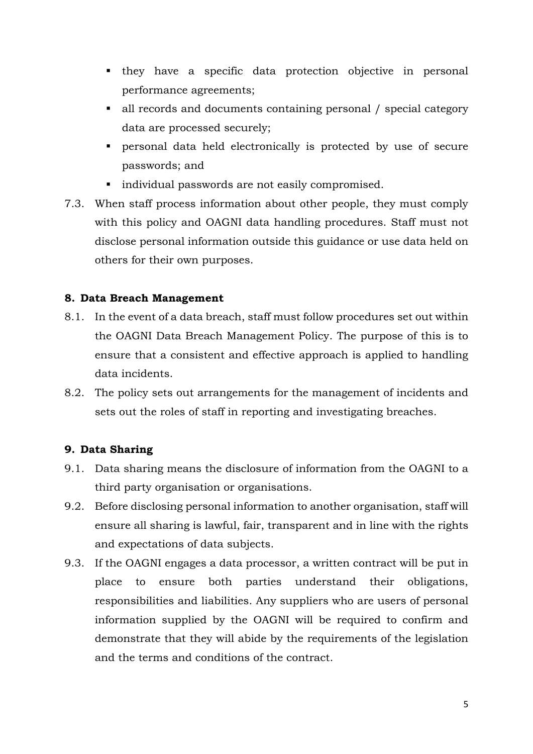- they have a specific data protection objective in personal performance agreements;
- all records and documents containing personal / special category data are processed securely;
- personal data held electronically is protected by use of secure passwords; and
- $\blacksquare$  individual passwords are not easily compromised.
- 7.3. When staff process information about other people, they must comply with this policy and OAGNI data handling procedures. Staff must not disclose personal information outside this guidance or use data held on others for their own purposes.

## **8. Data Breach Management**

- 8.1. In the event of a data breach, staff must follow procedures set out within the OAGNI Data Breach Management Policy. The purpose of this is to ensure that a consistent and effective approach is applied to handling data incidents.
- 8.2. The policy sets out arrangements for the management of incidents and sets out the roles of staff in reporting and investigating breaches.

# **9. Data Sharing**

- 9.1. Data sharing means the disclosure of information from the OAGNI to a third party organisation or organisations.
- 9.2. Before disclosing personal information to another organisation, staff will ensure all sharing is lawful, fair, transparent and in line with the rights and expectations of data subjects.
- 9.3. If the OAGNI engages a data processor, a written contract will be put in place to ensure both parties understand their obligations, responsibilities and liabilities. Any suppliers who are users of personal information supplied by the OAGNI will be required to confirm and demonstrate that they will abide by the requirements of the legislation and the terms and conditions of the contract.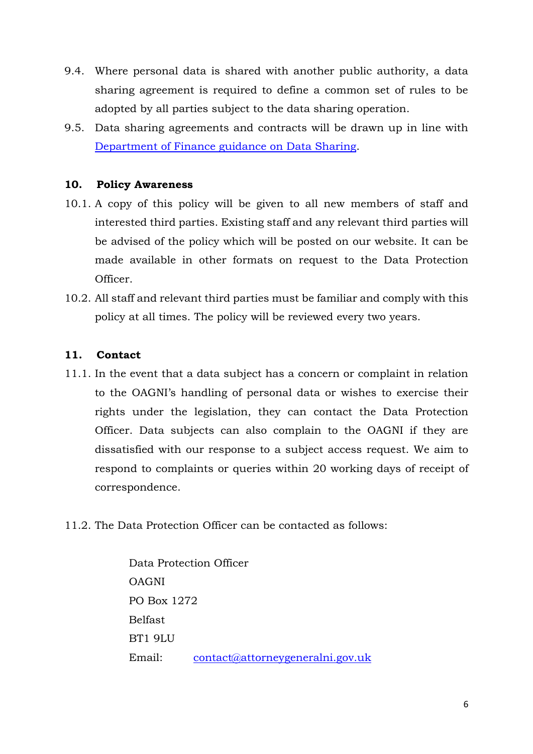- 9.4. Where personal data is shared with another public authority, a data sharing agreement is required to define a common set of rules to be adopted by all parties subject to the data sharing operation.
- 9.5. Data sharing agreements and contracts will be drawn up in line with [Department of Finance guidance on Data Sharing.](https://www.finance-ni.gov.uk/sites/default/files/publications/dfp/Departmental%20Guidance%20on%20Data%20Sharing%20-%20Contracts%20and%20Agreements%20-%20Version%202%20May%202018.pdf)

## **10. Policy Awareness**

- 10.1. A copy of this policy will be given to all new members of staff and interested third parties. Existing staff and any relevant third parties will be advised of the policy which will be posted on our website. It can be made available in other formats on request to the Data Protection Officer.
- 10.2. All staff and relevant third parties must be familiar and comply with this policy at all times. The policy will be reviewed every two years.

### **11. Contact**

- 11.1. In the event that a data subject has a concern or complaint in relation to the OAGNI's handling of personal data or wishes to exercise their rights under the legislation, they can contact the Data Protection Officer. Data subjects can also complain to the OAGNI if they are dissatisfied with our response to a subject access request. We aim to respond to complaints or queries within 20 working days of receipt of correspondence.
- 11.2. The Data Protection Officer can be contacted as follows:

Data Protection Officer OAGNI PO Box 1272 Belfast BT1 9LU Email: [contact@attorneygeneralni.gov.uk](mailto:contact@attorneygeneralni.gov.uk)